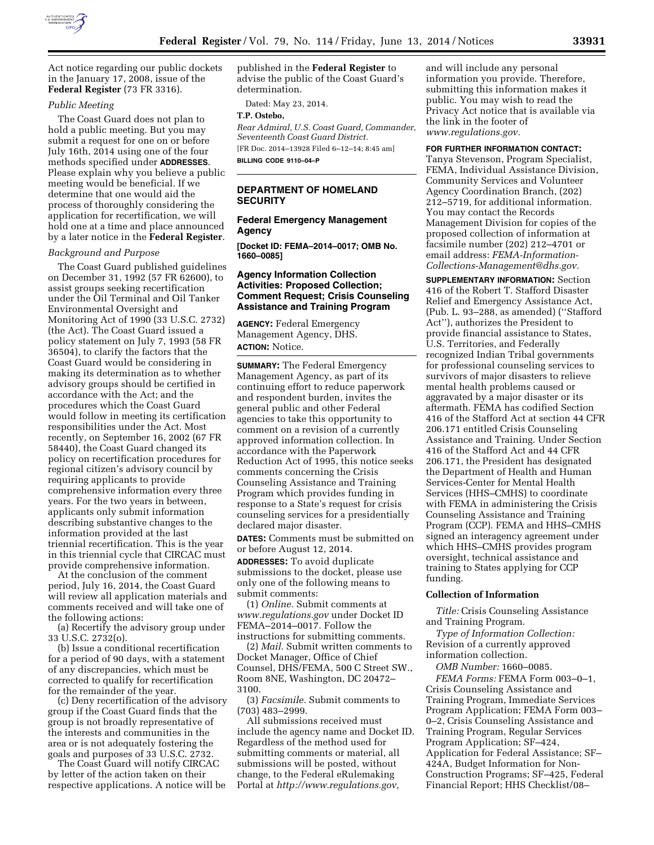

Act notice regarding our public dockets in the January 17, 2008, issue of the **Federal Register** (73 FR 3316).

#### *Public Meeting*

The Coast Guard does not plan to hold a public meeting. But you may submit a request for one on or before July 16th, 2014 using one of the four methods specified under **ADDRESSES**. Please explain why you believe a public meeting would be beneficial. If we determine that one would aid the process of thoroughly considering the application for recertification, we will hold one at a time and place announced by a later notice in the **Federal Register**.

#### *Background and Purpose*

The Coast Guard published guidelines on December 31, 1992 (57 FR 62600), to assist groups seeking recertification under the Oil Terminal and Oil Tanker Environmental Oversight and Monitoring Act of 1990 (33 U.S.C. 2732) (the Act). The Coast Guard issued a policy statement on July 7, 1993 (58 FR 36504), to clarify the factors that the Coast Guard would be considering in making its determination as to whether advisory groups should be certified in accordance with the Act; and the procedures which the Coast Guard would follow in meeting its certification responsibilities under the Act. Most recently, on September 16, 2002 (67 FR 58440), the Coast Guard changed its policy on recertification procedures for regional citizen's advisory council by requiring applicants to provide comprehensive information every three years. For the two years in between, applicants only submit information describing substantive changes to the information provided at the last triennial recertification. This is the year in this triennial cycle that CIRCAC must provide comprehensive information.

At the conclusion of the comment period, July 16, 2014, the Coast Guard will review all application materials and comments received and will take one of the following actions:

(a) Recertify the advisory group under 33 U.S.C. 2732(o).

(b) Issue a conditional recertification for a period of 90 days, with a statement of any discrepancies, which must be corrected to qualify for recertification for the remainder of the year.

(c) Deny recertification of the advisory group if the Coast Guard finds that the group is not broadly representative of the interests and communities in the area or is not adequately fostering the goals and purposes of 33 U.S.C. 2732.

The Coast Guard will notify CIRCAC by letter of the action taken on their respective applications. A notice will be published in the **Federal Register** to advise the public of the Coast Guard's determination.

Dated: May 23, 2014.

# **T.P. Ostebo,**

*Rear Admiral, U.S. Coast Guard, Commander, Seventeenth Coast Guard District.*  [FR Doc. 2014–13928 Filed 6–12–14; 8:45 am] **BILLING CODE 9110–04–P** 

## **DEPARTMENT OF HOMELAND SECURITY**

# **Federal Emergency Management Agency**

**[Docket ID: FEMA–2014–0017; OMB No. 1660–0085]** 

## **Agency Information Collection Activities: Proposed Collection; Comment Request; Crisis Counseling Assistance and Training Program**

**AGENCY:** Federal Emergency Management Agency, DHS. **ACTION:** Notice.

**SUMMARY:** The Federal Emergency Management Agency, as part of its continuing effort to reduce paperwork and respondent burden, invites the general public and other Federal agencies to take this opportunity to comment on a revision of a currently approved information collection. In accordance with the Paperwork Reduction Act of 1995, this notice seeks comments concerning the Crisis Counseling Assistance and Training Program which provides funding in response to a State's request for crisis counseling services for a presidentially declared major disaster.

**DATES:** Comments must be submitted on or before August 12, 2014.

**ADDRESSES:** To avoid duplicate submissions to the docket, please use only one of the following means to submit comments:

(1) *Online.* Submit comments at *[www.regulations.gov](http://www.regulations.gov)* under Docket ID FEMA–2014–0017. Follow the instructions for submitting comments.

(2) *Mail.* Submit written comments to Docket Manager, Office of Chief Counsel, DHS/FEMA, 500 C Street SW., Room 8NE, Washington, DC 20472– 3100.

(3) *Facsimile.* Submit comments to (703) 483–2999.

All submissions received must include the agency name and Docket ID. Regardless of the method used for submitting comments or material, all submissions will be posted, without change, to the Federal eRulemaking Portal at *[http://www.regulations.gov,](http://www.regulations.gov)* 

and will include any personal information you provide. Therefore, submitting this information makes it public. You may wish to read the Privacy Act notice that is available via the link in the footer of *[www.regulations.gov.](http://www.regulations.gov)* 

### **FOR FURTHER INFORMATION CONTACT:**

Tanya Stevenson, Program Specialist, FEMA, Individual Assistance Division, Community Services and Volunteer Agency Coordination Branch, (202) 212–5719, for additional information. You may contact the Records Management Division for copies of the proposed collection of information at facsimile number (202) 212–4701 or email address: *[FEMA-Information-](mailto:FEMA-Information-Collections-Management@dhs.gov)[Collections-Management@dhs.gov.](mailto:FEMA-Information-Collections-Management@dhs.gov)* 

**SUPPLEMENTARY INFORMATION:** Section 416 of the Robert T. Stafford Disaster Relief and Emergency Assistance Act, (Pub. L. 93–288, as amended) (''Stafford Act''), authorizes the President to provide financial assistance to States, U.S. Territories, and Federally recognized Indian Tribal governments for professional counseling services to survivors of major disasters to relieve mental health problems caused or aggravated by a major disaster or its aftermath. FEMA has codified Section 416 of the Stafford Act at section 44 CFR 206.171 entitled Crisis Counseling Assistance and Training. Under Section 416 of the Stafford Act and 44 CFR 206.171, the President has designated the Department of Health and Human Services-Center for Mental Health Services (HHS–CMHS) to coordinate with FEMA in administering the Crisis Counseling Assistance and Training Program (CCP). FEMA and HHS–CMHS signed an interagency agreement under which HHS–CMHS provides program oversight, technical assistance and training to States applying for CCP funding.

### **Collection of Information**

*Title:* Crisis Counseling Assistance and Training Program.

*Type of Information Collection:*  Revision of a currently approved information collection.

*OMB Number:* 1660–0085. *FEMA Forms:* FEMA Form 003–0–1, Crisis Counseling Assistance and Training Program, Immediate Services Program Application; FEMA Form 003– 0–2, Crisis Counseling Assistance and Training Program, Regular Services Program Application; SF–424, Application for Federal Assistance; SF– 424A, Budget Information for Non-Construction Programs; SF–425, Federal Financial Report; HHS Checklist/08–